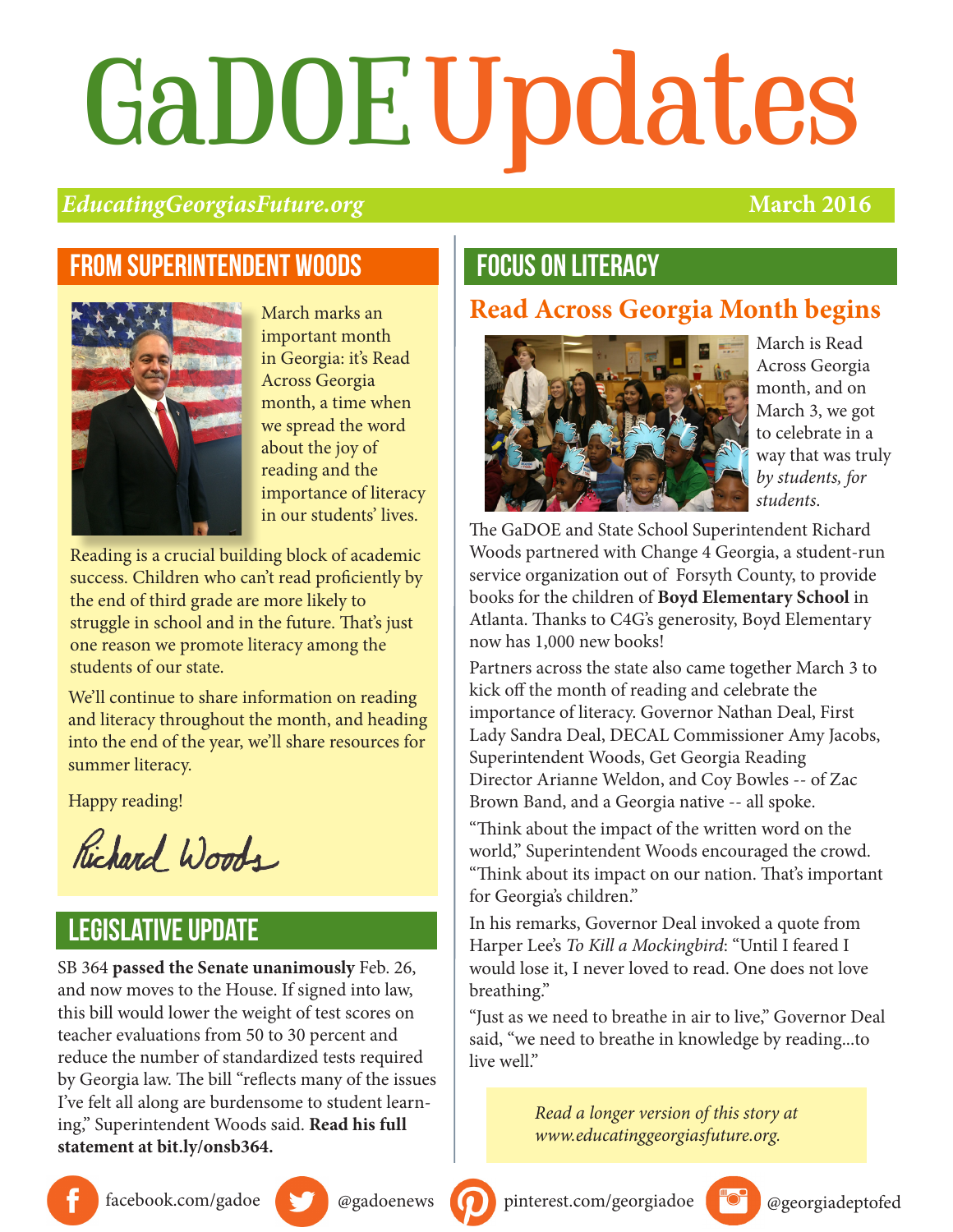# GaDOEUpdates

#### *EducatingGeorgiasFuture.org* **March 2016**

#### From superintendent woods



March marks an important month in Georgia: it's Read Across Georgia month, a time when we spread the word about the joy of reading and the importance of literacy in our students' lives.

Reading is a crucial building block of academic success. Children who can't read proficiently by the end of third grade are more likely to struggle in school and in the future. That's just one reason we promote literacy among the students of our state.

We'll continue to share information on reading and literacy throughout the month, and heading into the end of the year, we'll share resources for summer literacy.

Happy reading!

Richard Woods

#### legislative update

SB 364 **passed the Senate unanimously** Feb. 26, and now moves to the House. If signed into law, this bill would lower the weight of test scores on teacher evaluations from 50 to 30 percent and reduce the number of standardized tests required by Georgia law. The bill "reflects many of the issues I've felt all along are burdensome to student learning," Superintendent Woods said. **Read his full statement at bit.ly/onsb364.**

#### focus on literacy

#### **Read Across Georgia Month begins**



March is Read Across Georgia month, and on March 3, we got to celebrate in a way that was truly *by students, for students*.

The GaDOE and State School Superintendent Richard Woods partnered with Change 4 Georgia, a student-run service organization out of Forsyth County, to provide books for the children of **Boyd Elementary School** in Atlanta. Thanks to C4G's generosity, Boyd Elementary now has 1,000 new books!

Partners across the state also came together March 3 to kick off the month of reading and celebrate the importance of literacy. Governor Nathan Deal, First Lady Sandra Deal, DECAL Commissioner Amy Jacobs, Superintendent Woods, Get Georgia Reading Director Arianne Weldon, and Coy Bowles -- of Zac Brown Band, and a Georgia native -- all spoke.

"Think about the impact of the written word on the world," Superintendent Woods encouraged the crowd. "Think about its impact on our nation. That's important for Georgia's children."

In his remarks, Governor Deal invoked a quote from Harper Lee's *To Kill a Mockingbird*: "Until I feared I would lose it, I never loved to read. One does not love breathing."

"Just as we need to breathe in air to live," Governor Deal said, "we need to breathe in knowledge by reading...to live well."

> *Read a longer version of this story at www.educatinggeorgiasfuture.org.*